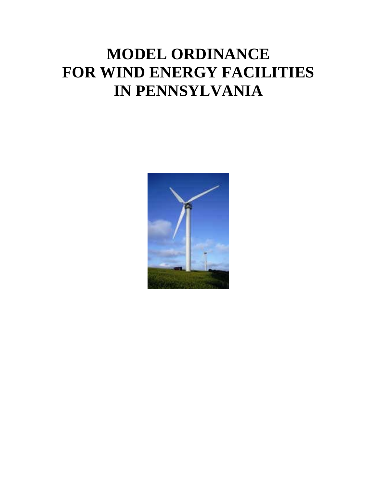# **MODEL ORDINANCE FOR WIND ENERGY FACILITIES IN PENNSYLVANIA**

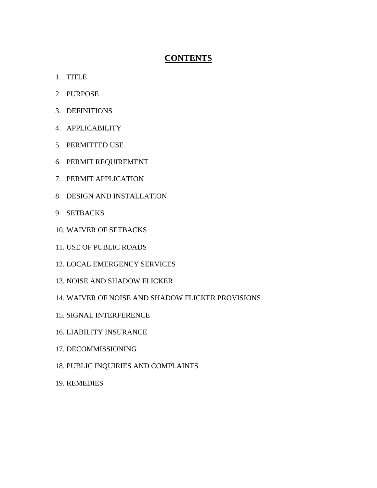## **CONTENTS**

- 1. TITLE
- 2. PURPOSE
- 3. DEFINITIONS
- 4. APPLICABILITY
- 5. PERMITTED USE
- 6. PERMIT REQUIREMENT
- 7. PERMIT APPLICATION
- 8. DESIGN AND INSTALLATION
- 9. SETBACKS
- 10. WAIVER OF SETBACKS
- 11. USE OF PUBLIC ROADS
- 12. LOCAL EMERGENCY SERVICES
- 13. NOISE AND SHADOW FLICKER
- 14. WAIVER OF NOISE AND SHADOW FLICKER PROVISIONS
- 15. SIGNAL INTERFERENCE
- 16. LIABILITY INSURANCE
- 17. DECOMMISSIONING
- 18. PUBLIC INQUIRIES AND COMPLAINTS
- 19. REMEDIES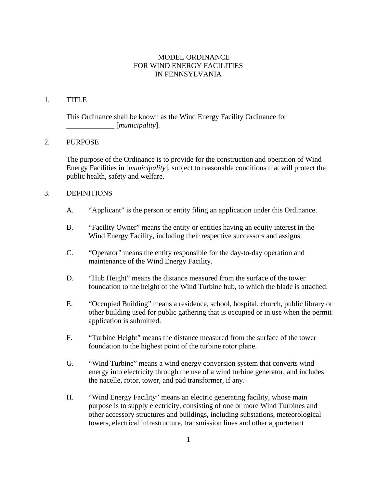## MODEL ORDINANCE FOR WIND ENERGY FACILITIES IN PENNSYLVANIA

## 1. TITLE

This Ordinance shall be known as the Wind Energy Facility Ordinance for \_\_\_\_\_\_\_\_\_\_\_\_\_ [*municipality*].

## 2. PURPOSE

The purpose of the Ordinance is to provide for the construction and operation of Wind Energy Facilities in [*municipality*], subject to reasonable conditions that will protect the public health, safety and welfare.

#### 3. DEFINITIONS

- A. "Applicant" is the person or entity filing an application under this Ordinance.
- B. "Facility Owner" means the entity or entities having an equity interest in the Wind Energy Facility, including their respective successors and assigns.
- C. "Operator" means the entity responsible for the day-to-day operation and maintenance of the Wind Energy Facility.
- D. "Hub Height" means the distance measured from the surface of the tower foundation to the height of the Wind Turbine hub, to which the blade is attached.
- E. "Occupied Building" means a residence, school, hospital, church, public library or other building used for public gathering that is occupied or in use when the permit application is submitted.
- F. "Turbine Height" means the distance measured from the surface of the tower foundation to the highest point of the turbine rotor plane.
- G. "Wind Turbine" means a wind energy conversion system that converts wind energy into electricity through the use of a wind turbine generator, and includes the nacelle, rotor, tower, and pad transformer, if any.
- H. "Wind Energy Facility" means an electric generating facility, whose main purpose is to supply electricity, consisting of one or more Wind Turbines and other accessory structures and buildings, including substations, meteorological towers, electrical infrastructure, transmission lines and other appurtenant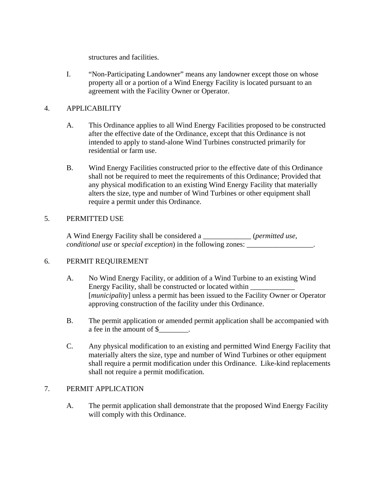structures and facilities.

 I. "Non-Participating Landowner" means any landowner except those on whose property all or a portion of a Wind Energy Facility is located pursuant to an agreement with the Facility Owner or Operator.

## 4. APPLICABILITY

- A. This Ordinance applies to all Wind Energy Facilities proposed to be constructed after the effective date of the Ordinance, except that this Ordinance is not intended to apply to stand-alone Wind Turbines constructed primarily for residential or farm use.
- B. Wind Energy Facilities constructed prior to the effective date of this Ordinance shall not be required to meet the requirements of this Ordinance; Provided that any physical modification to an existing Wind Energy Facility that materially alters the size, type and number of Wind Turbines or other equipment shall require a permit under this Ordinance.

## 5. PERMITTED USE

A Wind Energy Facility shall be considered a \_\_\_\_\_\_\_\_\_\_\_\_\_ (*permitted use, conditional use* or *special exception*) in the following zones: \_\_\_\_\_\_\_\_\_\_\_\_\_\_\_\_\_\_\_.

## 6. PERMIT REQUIREMENT

- A. No Wind Energy Facility, or addition of a Wind Turbine to an existing Wind Energy Facility, shall be constructed or located within [*municipality*] unless a permit has been issued to the Facility Owner or Operator approving construction of the facility under this Ordinance.
- B. The permit application or amended permit application shall be accompanied with a fee in the amount of \$\_\_\_\_\_\_\_\_.
- C. Any physical modification to an existing and permitted Wind Energy Facility that materially alters the size, type and number of Wind Turbines or other equipment shall require a permit modification under this Ordinance. Like-kind replacements shall not require a permit modification.

## 7. PERMIT APPLICATION

 A. The permit application shall demonstrate that the proposed Wind Energy Facility will comply with this Ordinance.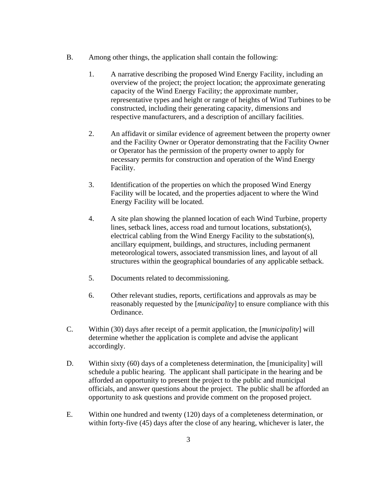- B. Among other things, the application shall contain the following:
	- 1. A narrative describing the proposed Wind Energy Facility, including an overview of the project; the project location; the approximate generating capacity of the Wind Energy Facility; the approximate number, representative types and height or range of heights of Wind Turbines to be constructed, including their generating capacity, dimensions and respective manufacturers, and a description of ancillary facilities.
	- 2. An affidavit or similar evidence of agreement between the property owner and the Facility Owner or Operator demonstrating that the Facility Owner or Operator has the permission of the property owner to apply for necessary permits for construction and operation of the Wind Energy Facility.
	- 3. Identification of the properties on which the proposed Wind Energy Facility will be located, and the properties adjacent to where the Wind Energy Facility will be located.
	- 4. A site plan showing the planned location of each Wind Turbine, property lines, setback lines, access road and turnout locations, substation(s), electrical cabling from the Wind Energy Facility to the substation(s), ancillary equipment, buildings, and structures, including permanent meteorological towers, associated transmission lines, and layout of all structures within the geographical boundaries of any applicable setback.
	- 5. Documents related to decommissioning.
	- 6. Other relevant studies, reports, certifications and approvals as may be reasonably requested by the [*municipality*] to ensure compliance with this Ordinance.
- C. Within (30) days after receipt of a permit application, the [*municipality*] will determine whether the application is complete and advise the applicant accordingly.
- D. Within sixty (60) days of a completeness determination, the [municipality] will schedule a public hearing. The applicant shall participate in the hearing and be afforded an opportunity to present the project to the public and municipal officials, and answer questions about the project. The public shall be afforded an opportunity to ask questions and provide comment on the proposed project.
- E. Within one hundred and twenty (120) days of a completeness determination, or within forty-five (45) days after the close of any hearing, whichever is later, the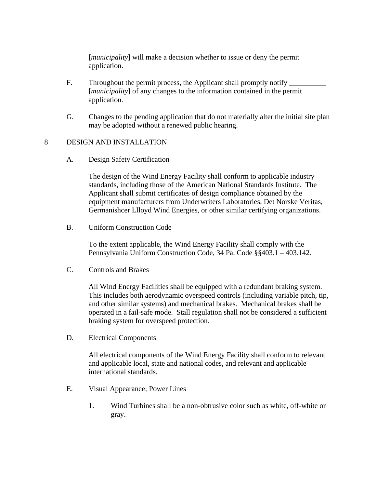[*municipality*] will make a decision whether to issue or deny the permit application.

- F. Throughout the permit process, the Applicant shall promptly notify [*municipality*] of any changes to the information contained in the permit application.
- G. Changes to the pending application that do not materially alter the initial site plan may be adopted without a renewed public hearing.

## 8 DESIGN AND INSTALLATION

A. Design Safety Certification

The design of the Wind Energy Facility shall conform to applicable industry standards, including those of the American National Standards Institute. The Applicant shall submit certificates of design compliance obtained by the equipment manufacturers from Underwriters Laboratories, Det Norske Veritas, Germanishcer Llloyd Wind Energies, or other similar certifying organizations.

B. Uniform Construction Code

To the extent applicable, the Wind Energy Facility shall comply with the Pennsylvania Uniform Construction Code, 34 Pa. Code §§403.1 – 403.142.

C. Controls and Brakes

All Wind Energy Facilities shall be equipped with a redundant braking system. This includes both aerodynamic overspeed controls (including variable pitch, tip, and other similar systems) and mechanical brakes. Mechanical brakes shall be operated in a fail-safe mode. Stall regulation shall not be considered a sufficient braking system for overspeed protection.

D. Electrical Components

All electrical components of the Wind Energy Facility shall conform to relevant and applicable local, state and national codes, and relevant and applicable international standards.

- E. Visual Appearance; Power Lines
	- 1. Wind Turbines shall be a non-obtrusive color such as white, off-white or gray.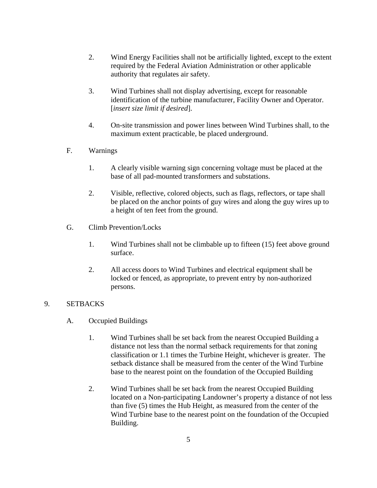- 2. Wind Energy Facilities shall not be artificially lighted, except to the extent required by the Federal Aviation Administration or other applicable authority that regulates air safety.
- 3. Wind Turbines shall not display advertising, except for reasonable identification of the turbine manufacturer, Facility Owner and Operator. [*insert size limit if desired*].
- 4. On-site transmission and power lines between Wind Turbines shall, to the maximum extent practicable, be placed underground.
- F. Warnings
	- 1. A clearly visible warning sign concerning voltage must be placed at the base of all pad-mounted transformers and substations.
	- 2. Visible, reflective, colored objects, such as flags, reflectors, or tape shall be placed on the anchor points of guy wires and along the guy wires up to a height of ten feet from the ground.
- G. Climb Prevention/Locks
	- 1. Wind Turbines shall not be climbable up to fifteen (15) feet above ground surface.
	- 2. All access doors to Wind Turbines and electrical equipment shall be locked or fenced, as appropriate, to prevent entry by non-authorized persons.

#### 9. SETBACKS

- A. Occupied Buildings
	- 1. Wind Turbines shall be set back from the nearest Occupied Building a distance not less than the normal setback requirements for that zoning classification or 1.1 times the Turbine Height, whichever is greater. The setback distance shall be measured from the center of the Wind Turbine base to the nearest point on the foundation of the Occupied Building
	- 2. Wind Turbines shall be set back from the nearest Occupied Building located on a Non-participating Landowner's property a distance of not less than five (5) times the Hub Height, as measured from the center of the Wind Turbine base to the nearest point on the foundation of the Occupied Building.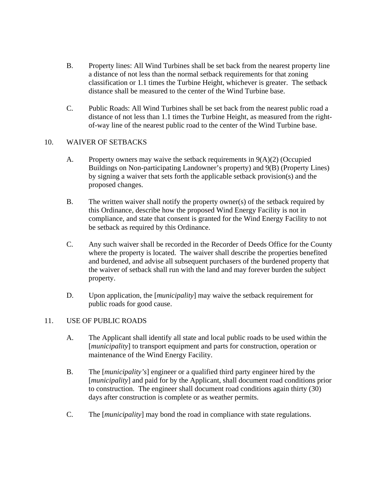- B. Property lines: All Wind Turbines shall be set back from the nearest property line a distance of not less than the normal setback requirements for that zoning classification or 1.1 times the Turbine Height, whichever is greater. The setback distance shall be measured to the center of the Wind Turbine base.
- C. Public Roads: All Wind Turbines shall be set back from the nearest public road a distance of not less than 1.1 times the Turbine Height, as measured from the rightof-way line of the nearest public road to the center of the Wind Turbine base.

## 10. WAIVER OF SETBACKS

- A. Property owners may waive the setback requirements in 9(A)(2) (Occupied Buildings on Non-participating Landowner's property) and 9(B) (Property Lines) by signing a waiver that sets forth the applicable setback provision(s) and the proposed changes.
- B. The written waiver shall notify the property owner(s) of the setback required by this Ordinance, describe how the proposed Wind Energy Facility is not in compliance, and state that consent is granted for the Wind Energy Facility to not be setback as required by this Ordinance.
- C. Any such waiver shall be recorded in the Recorder of Deeds Office for the County where the property is located. The waiver shall describe the properties benefited and burdened, and advise all subsequent purchasers of the burdened property that the waiver of setback shall run with the land and may forever burden the subject property.
- D. Upon application, the [*municipality*] may waive the setback requirement for public roads for good cause.

## 11. USE OF PUBLIC ROADS

- A. The Applicant shall identify all state and local public roads to be used within the [*municipality*] to transport equipment and parts for construction, operation or maintenance of the Wind Energy Facility.
- B. The [*municipality's*] engineer or a qualified third party engineer hired by the [*municipality*] and paid for by the Applicant, shall document road conditions prior to construction. The engineer shall document road conditions again thirty (30) days after construction is complete or as weather permits.
- C. The [*municipality*] may bond the road in compliance with state regulations.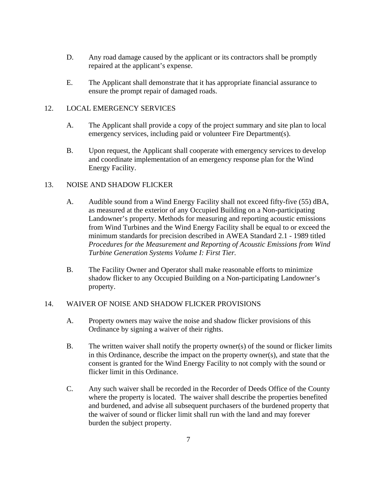- D. Any road damage caused by the applicant or its contractors shall be promptly repaired at the applicant's expense.
- E. The Applicant shall demonstrate that it has appropriate financial assurance to ensure the prompt repair of damaged roads.

## 12. LOCAL EMERGENCY SERVICES

- A. The Applicant shall provide a copy of the project summary and site plan to local emergency services, including paid or volunteer Fire Department(s).
- B. Upon request, the Applicant shall cooperate with emergency services to develop and coordinate implementation of an emergency response plan for the Wind Energy Facility.

## 13. NOISE AND SHADOW FLICKER

- A. Audible sound from a Wind Energy Facility shall not exceed fifty-five (55) dBA, as measured at the exterior of any Occupied Building on a Non-participating Landowner's property. Methods for measuring and reporting acoustic emissions from Wind Turbines and the Wind Energy Facility shall be equal to or exceed the minimum standards for precision described in AWEA Standard 2.1 - 1989 titled *Procedures for the Measurement and Reporting of Acoustic Emissions from Wind Turbine Generation Systems Volume I: First Tier.*
- B. The Facility Owner and Operator shall make reasonable efforts to minimize shadow flicker to any Occupied Building on a Non-participating Landowner's property.

## 14. WAIVER OF NOISE AND SHADOW FLICKER PROVISIONS

- A. Property owners may waive the noise and shadow flicker provisions of this Ordinance by signing a waiver of their rights.
- B. The written waiver shall notify the property owner(s) of the sound or flicker limits in this Ordinance, describe the impact on the property owner(s), and state that the consent is granted for the Wind Energy Facility to not comply with the sound or flicker limit in this Ordinance.
- C. Any such waiver shall be recorded in the Recorder of Deeds Office of the County where the property is located. The waiver shall describe the properties benefited and burdened, and advise all subsequent purchasers of the burdened property that the waiver of sound or flicker limit shall run with the land and may forever burden the subject property.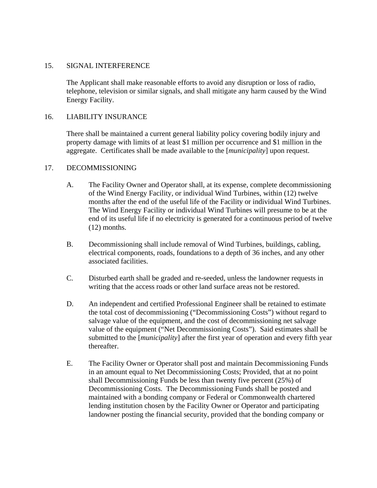## 15. SIGNAL INTERFERENCE

The Applicant shall make reasonable efforts to avoid any disruption or loss of radio, telephone, television or similar signals, and shall mitigate any harm caused by the Wind Energy Facility.

#### 16. LIABILITY INSURANCE

There shall be maintained a current general liability policy covering bodily injury and property damage with limits of at least \$1 million per occurrence and \$1 million in the aggregate. Certificates shall be made available to the [*municipality*] upon request.

#### 17. DECOMMISSIONING

- A. The Facility Owner and Operator shall, at its expense, complete decommissioning of the Wind Energy Facility, or individual Wind Turbines, within (12) twelve months after the end of the useful life of the Facility or individual Wind Turbines. The Wind Energy Facility or individual Wind Turbines will presume to be at the end of its useful life if no electricity is generated for a continuous period of twelve (12) months.
- B. Decommissioning shall include removal of Wind Turbines, buildings, cabling, electrical components, roads, foundations to a depth of 36 inches, and any other associated facilities.
- C. Disturbed earth shall be graded and re-seeded, unless the landowner requests in writing that the access roads or other land surface areas not be restored.
- D. An independent and certified Professional Engineer shall be retained to estimate the total cost of decommissioning ("Decommissioning Costs") without regard to salvage value of the equipment, and the cost of decommissioning net salvage value of the equipment ("Net Decommissioning Costs"). Said estimates shall be submitted to the [*municipality*] after the first year of operation and every fifth year thereafter.
- E. The Facility Owner or Operator shall post and maintain Decommissioning Funds in an amount equal to Net Decommissioning Costs; Provided, that at no point shall Decommissioning Funds be less than twenty five percent (25%) of Decommissioning Costs. The Decommissioning Funds shall be posted and maintained with a bonding company or Federal or Commonwealth chartered lending institution chosen by the Facility Owner or Operator and participating landowner posting the financial security, provided that the bonding company or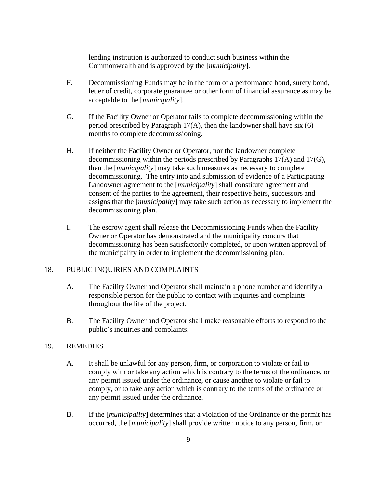lending institution is authorized to conduct such business within the Commonwealth and is approved by the [*municipality*].

- F. Decommissioning Funds may be in the form of a performance bond, surety bond, letter of credit, corporate guarantee or other form of financial assurance as may be acceptable to the [*municipality*].
- G. If the Facility Owner or Operator fails to complete decommissioning within the period prescribed by Paragraph  $17(A)$ , then the landowner shall have six (6) months to complete decommissioning.
- H. If neither the Facility Owner or Operator, nor the landowner complete decommissioning within the periods prescribed by Paragraphs 17(A) and 17(G), then the [*municipality*] may take such measures as necessary to complete decommissioning. The entry into and submission of evidence of a Participating Landowner agreement to the [*municipality*] shall constitute agreement and consent of the parties to the agreement, their respective heirs, successors and assigns that the [*municipality*] may take such action as necessary to implement the decommissioning plan.
- I. The escrow agent shall release the Decommissioning Funds when the Facility Owner or Operator has demonstrated and the municipality concurs that decommissioning has been satisfactorily completed, or upon written approval of the municipality in order to implement the decommissioning plan.

#### 18. PUBLIC INQUIRIES AND COMPLAINTS

- A. The Facility Owner and Operator shall maintain a phone number and identify a responsible person for the public to contact with inquiries and complaints throughout the life of the project.
- B. The Facility Owner and Operator shall make reasonable efforts to respond to the public's inquiries and complaints.

#### 19. REMEDIES

- A. It shall be unlawful for any person, firm, or corporation to violate or fail to comply with or take any action which is contrary to the terms of the ordinance, or any permit issued under the ordinance, or cause another to violate or fail to comply, or to take any action which is contrary to the terms of the ordinance or any permit issued under the ordinance.
- B. If the [*municipality*] determines that a violation of the Ordinance or the permit has occurred, the [*municipality*] shall provide written notice to any person, firm, or